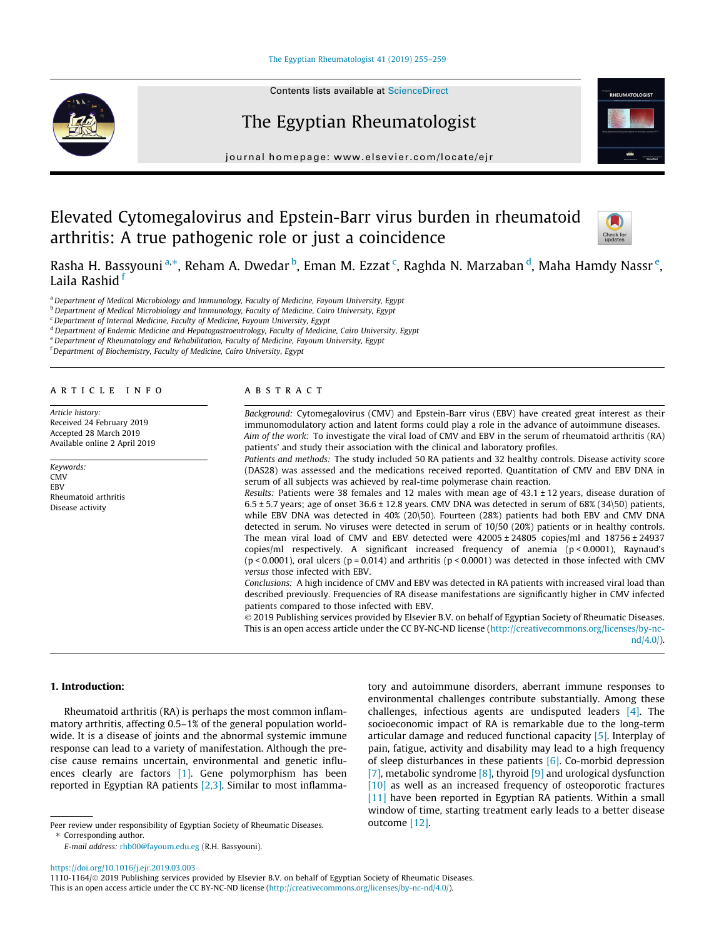#### [The Egyptian Rheumatologist 41 \(2019\) 255–259](https://doi.org/10.1016/j.ejr.2019.03.003)

# The Egyptian Rheumatologist

journal homepage: [www.elsevier.com/locate/ejr](http://www.elsevier.com/locate/ejr)

# Elevated Cytomegalovirus and Epstein-Barr virus burden in rheumatoid arthritis: A true pathogenic role or just a coincidence



Rasha H. Bassyouni <sup>a,</sup>\*, Reham A. Dwedar <sup>b</sup>, Eman M. Ezzat <sup>c</sup>, Raghda N. Marzaban <sup>d</sup>, Maha Hamdy Nassr <sup>e</sup>, Laila Rashid f

<sup>a</sup> Department of Medical Microbiology and Immunology, Faculty of Medicine, Fayoum University, Egypt

<sup>b</sup> Department of Medical Microbiology and Immunology, Faculty of Medicine, Cairo University, Egypt

<sup>c</sup> Department of Internal Medicine, Faculty of Medicine, Fayoum University, Egypt

<sup>d</sup> Department of Endemic Medicine and Hepatogastroentrology, Faculty of Medicine, Cairo University, Egypt

e Department of Rheumatology and Rehabilitation, Faculty of Medicine, Fayoum University, Egypt

<sup>f</sup> Department of Biochemistry, Faculty of Medicine, Cairo University, Egypt

#### article info

Article history: Received 24 February 2019 Accepted 28 March 2019 Available online 2 April 2019

Keywords: **CMV** EBV Rheumatoid arthritis Disease activity

#### A B S T R A C T

Background: Cytomegalovirus (CMV) and Epstein-Barr virus (EBV) have created great interest as their immunomodulatory action and latent forms could play a role in the advance of autoimmune diseases. Aim of the work: To investigate the viral load of CMV and EBV in the serum of rheumatoid arthritis (RA) patients' and study their association with the clinical and laboratory profiles.

Patients and methods: The study included 50 RA patients and 32 healthy controls. Disease activity score (DAS28) was assessed and the medications received reported. Quantitation of CMV and EBV DNA in serum of all subjects was achieved by real-time polymerase chain reaction.

Results: Patients were 38 females and 12 males with mean age of  $43.1 \pm 12$  years, disease duration of  $6.5 \pm 5.7$  years; age of onset  $36.6 \pm 12.8$  years. CMV DNA was detected in serum of  $68\%$  (34\50) patients, while EBV DNA was detected in 40% (20\50). Fourteen (28%) patients had both EBV and CMV DNA detected in serum. No viruses were detected in serum of 10/50 (20%) patients or in healthy controls. The mean viral load of CMV and EBV detected were  $42005 \pm 24805$  copies/ml and  $18756 \pm 24937$ copies/ml respectively. A significant increased frequency of anemia (p < 0.0001), Raynaud's ( $p$  < 0.0001), oral ulcers ( $p$  = 0.014) and arthritis ( $p$  < 0.0001) was detected in those infected with CMV versus those infected with EBV.

Conclusions: A high incidence of CMV and EBV was detected in RA patients with increased viral load than described previously. Frequencies of RA disease manifestations are significantly higher in CMV infected patients compared to those infected with EBV.

 2019 Publishing services provided by Elsevier B.V. on behalf of Egyptian Society of Rheumatic Diseases. This is an open access article under the CC BY-NC-ND license [\(http://creativecommons.org/licenses/by-nc-](http://creativecommons.org/licenses/by-nc-nd/4.0/)

[nd/4.0/](http://creativecommons.org/licenses/by-nc-nd/4.0/)).

## 1. Introduction:

Rheumatoid arthritis (RA) is perhaps the most common inflammatory arthritis, affecting 0.5–1% of the general population worldwide. It is a disease of joints and the abnormal systemic immune response can lead to a variety of manifestation. Although the precise cause remains uncertain, environmental and genetic influences clearly are factors [\[1\]](#page-3-0). Gene polymorphism has been reported in Egyptian RA patients [\[2,3\].](#page-3-0) Similar to most inflamma-

Peer review under responsibility of Egyptian Society of Rheumatic Diseases. ⇑ Corresponding author. E-mail address: [rhb00@fayoum.edu.eg](mailto:rhb00@fayoum.edu.eg) (R.H. Bassyouni).

tory and autoimmune disorders, aberrant immune responses to environmental challenges contribute substantially. Among these challenges, infectious agents are undisputed leaders [\[4\]](#page-3-0). The socioeconomic impact of RA is remarkable due to the long-term articular damage and reduced functional capacity [\[5\].](#page-3-0) Interplay of pain, fatigue, activity and disability may lead to a high frequency of sleep disturbances in these patients  $[6]$ . Co-morbid depression [\[7\]](#page-3-0), metabolic syndrome  $[8]$ , thyroid  $[9]$  and urological dysfunction [\[10\]](#page-3-0) as well as an increased frequency of osteoporotic fractures [\[11\]](#page-3-0) have been reported in Egyptian RA patients. Within a small window of time, starting treatment early leads to a better disease outcome [\[12\].](#page-3-0)

<https://doi.org/10.1016/j.ejr.2019.03.003>

<sup>1110-1164/ 2019</sup> Publishing services provided by Elsevier B.V. on behalf of Egyptian Society of Rheumatic Diseases. This is an open access article under the CC BY-NC-ND license ([http://creativecommons.org/licenses/by-nc-nd/4.0/\)](http://creativecommons.org/licenses/by-nc-nd/4.0/).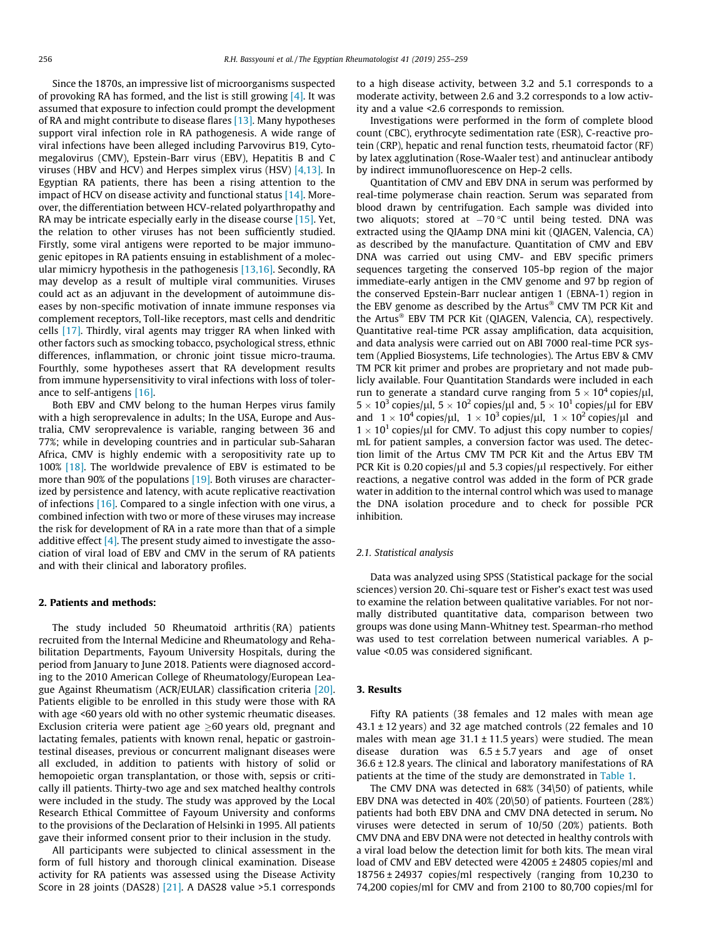Since the 1870s, an impressive list of microorganisms suspected of provoking RA has formed, and the list is still growing [\[4\].](#page-3-0) It was assumed that exposure to infection could prompt the development of RA and might contribute to disease flares [\[13\].](#page-3-0) Many hypotheses support viral infection role in RA pathogenesis. A wide range of viral infections have been alleged including Parvovirus B19, Cytomegalovirus (CMV), Epstein-Barr virus (EBV), Hepatitis B and C viruses (HBV and HCV) and Herpes simplex virus (HSV) [\[4,13\]](#page-3-0). In Egyptian RA patients, there has been a rising attention to the impact of HCV on disease activity and functional status [\[14\].](#page-3-0) Moreover, the differentiation between HCV-related polyarthropathy and RA may be intricate especially early in the disease course [\[15\]](#page-3-0). Yet, the relation to other viruses has not been sufficiently studied. Firstly, some viral antigens were reported to be major immunogenic epitopes in RA patients ensuing in establishment of a molecular mimicry hypothesis in the pathogenesis [\[13,16\].](#page-3-0) Secondly, RA may develop as a result of multiple viral communities. Viruses could act as an adjuvant in the development of autoimmune diseases by non-specific motivation of innate immune responses via complement receptors, Toll-like receptors, mast cells and dendritic cells [\[17\]](#page-3-0). Thirdly, viral agents may trigger RA when linked with other factors such as smocking tobacco, psychological stress, ethnic differences, inflammation, or chronic joint tissue micro-trauma. Fourthly, some hypotheses assert that RA development results from immune hypersensitivity to viral infections with loss of tolerance to self-antigens [\[16\].](#page-3-0)

Both EBV and CMV belong to the human Herpes virus family with a high seroprevalence in adults; In the USA, Europe and Australia, CMV seroprevalence is variable, ranging between 36 and 77%; while in developing countries and in particular sub-Saharan Africa, CMV is highly endemic with a seropositivity rate up to 100% [\[18\]](#page-3-0). The worldwide prevalence of EBV is estimated to be more than 90% of the populations [\[19\].](#page-4-0) Both viruses are characterized by persistence and latency, with acute replicative reactivation of infections [\[16\]](#page-3-0). Compared to a single infection with one virus, a combined infection with two or more of these viruses may increase the risk for development of RA in a rate more than that of a simple additive effect  $[4]$ . The present study aimed to investigate the association of viral load of EBV and CMV in the serum of RA patients and with their clinical and laboratory profiles.

### 2. Patients and methods:

The study included 50 Rheumatoid arthritis (RA) patients recruited from the Internal Medicine and Rheumatology and Rehabilitation Departments, Fayoum University Hospitals, during the period from January to June 2018. Patients were diagnosed according to the 2010 American College of Rheumatology/European League Against Rheumatism (ACR/EULAR) classification criteria [\[20\].](#page-4-0) Patients eligible to be enrolled in this study were those with RA with age <60 years old with no other systemic rheumatic diseases. Exclusion criteria were patient age  $\geq 60$  years old, pregnant and lactating females, patients with known renal, hepatic or gastrointestinal diseases, previous or concurrent malignant diseases were all excluded, in addition to patients with history of solid or hemopoietic organ transplantation, or those with, sepsis or critically ill patients. Thirty-two age and sex matched healthy controls were included in the study. The study was approved by the Local Research Ethical Committee of Fayoum University and conforms to the provisions of the Declaration of Helsinki in 1995. All patients gave their informed consent prior to their inclusion in the study.

All participants were subjected to clinical assessment in the form of full history and thorough clinical examination. Disease activity for RA patients was assessed using the Disease Activity Score in 28 joints (DAS28) [\[21\]](#page-4-0). A DAS28 value >5.1 corresponds to a high disease activity, between 3.2 and 5.1 corresponds to a moderate activity, between 2.6 and 3.2 corresponds to a low activity and a value <2.6 corresponds to remission.

Investigations were performed in the form of complete blood count (CBC), erythrocyte sedimentation rate (ESR), C-reactive protein (CRP), hepatic and renal function tests, rheumatoid factor (RF) by latex agglutination (Rose-Waaler test) and antinuclear antibody by indirect immunofluorescence on Hep-2 cells.

Quantitation of CMV and EBV DNA in serum was performed by real-time polymerase chain reaction. Serum was separated from blood drawn by centrifugation. Each sample was divided into two aliquots; stored at  $-70$  °C until being tested. DNA was extracted using the QIAamp DNA mini kit (QIAGEN, Valencia, CA) as described by the manufacture. Quantitation of CMV and EBV DNA was carried out using CMV- and EBV specific primers sequences targeting the conserved 105-bp region of the major immediate-early antigen in the CMV genome and 97 bp region of the conserved Epstein-Barr nuclear antigen 1 (EBNA-1) region in the EBV genome as described by the Artus® CMV TM PCR Kit and the Artus<sup>®</sup> EBV TM PCR Kit (QIAGEN, Valencia, CA), respectively. Quantitative real-time PCR assay amplification, data acquisition, and data analysis were carried out on ABI 7000 real-time PCR system (Applied Biosystems, Life technologies). The Artus EBV & CMV TM PCR kit primer and probes are proprietary and not made publicly available. Four Quantitation Standards were included in each run to generate a standard curve ranging from  $5 \times 10^4$  copies/ $\mu$ l,  $5 \times 10^3$  copies/ $\mu$ l,  $5 \times 10^2$  copies/ $\mu$ l and,  $5 \times 10^1$  copies/ $\mu$ l for EBV and  $1 \times 10^4$  copies/ $\mu$ l,  $1 \times 10^3$  copies/ $\mu$ l,  $1 \times 10^2$  copies/ $\mu$ l and  $1 \times 10^{1}$  copies/µl for CMV. To adjust this copy number to copies/ mL for patient samples, a conversion factor was used. The detection limit of the Artus CMV TM PCR Kit and the Artus EBV TM PCR Kit is 0.20 copies/ $\mu$ l and 5.3 copies/ $\mu$ l respectively. For either reactions, a negative control was added in the form of PCR grade water in addition to the internal control which was used to manage the DNA isolation procedure and to check for possible PCR inhibition.

#### 2.1. Statistical analysis

Data was analyzed using SPSS (Statistical package for the social sciences) version 20. Chi-square test or Fisher's exact test was used to examine the relation between qualitative variables. For not normally distributed quantitative data, comparison between two groups was done using Mann-Whitney test. Spearman-rho method was used to test correlation between numerical variables. A pvalue <0.05 was considered significant.

#### 3. Results

Fifty RA patients (38 females and 12 males with mean age 43.1 ± 12 years) and 32 age matched controls (22 females and 10 males with mean age  $31.1 \pm 11.5$  years) were studied. The mean disease duration was  $6.5 \pm 5.7$  years and age of onset 36.6 ± 12.8 years. The clinical and laboratory manifestations of RA patients at the time of the study are demonstrated in [Table 1.](#page-2-0)

The CMV DNA was detected in 68% (34\50) of patients, while EBV DNA was detected in 40% (20\50) of patients. Fourteen (28%) patients had both EBV DNA and CMV DNA detected in serum. No viruses were detected in serum of 10/50 (20%) patients. Both CMV DNA and EBV DNA were not detected in healthy controls with a viral load below the detection limit for both kits. The mean viral load of CMV and EBV detected were 42005 ± 24805 copies/ml and 18756 ± 24937 copies/ml respectively (ranging from 10,230 to 74,200 copies/ml for CMV and from 2100 to 80,700 copies/ml for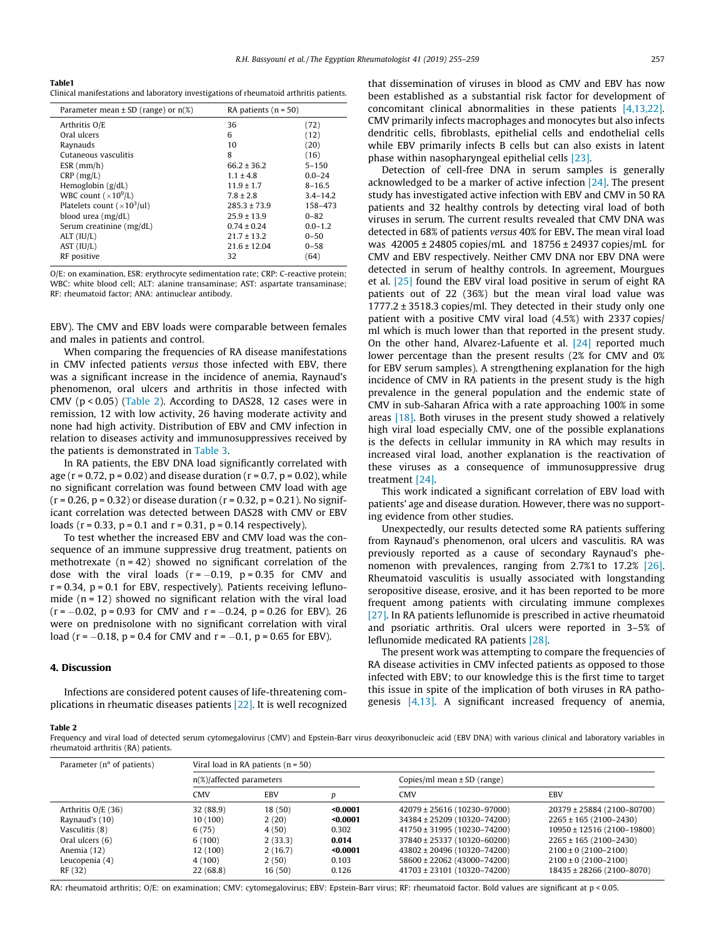<span id="page-2-0"></span>Table1 Clinical manifestations and laboratory investigations of rheumatoid arthritis patients.

| Parameter mean $\pm$ SD (range) or n(%)   | RA patients $(n = 50)$ |              |
|-------------------------------------------|------------------------|--------------|
| Arthritis O/E                             | 36                     | (72)         |
| Oral ulcers                               | 6                      | (12)         |
| Raynauds                                  | 10                     | (20)         |
| Cutaneous vasculitis                      | 8                      | (16)         |
| ESR (mm/h)                                | $66.2 \pm 36.2$        | $5 - 150$    |
| $CRP$ (mg/L)                              | $1.1 \pm 4.8$          | $0.0 - 24$   |
| Hemoglobin $(g/dL)$                       | $11.9 \pm 1.7$         | $8 - 16.5$   |
| WBC count $(\times 10^9$ /L)              | $7.8 \pm 2.8$          | $3.4 - 14.2$ |
| Platelets count $(\times 10^3/\text{ul})$ | $285.3 + 73.9$         | 158-473      |
| blood urea (mg/dL)                        | $25.9 \pm 13.9$        | $0 - 82$     |
| Serum creatinine (mg/dL)                  | $0.74 \pm 0.24$        | $0.0 - 1.2$  |
| ALT (IU/L)                                | $21.7 \pm 13.2$        | $0 - 50$     |
| AST (IU/L)                                | $21.6 \pm 12.04$       | $0 - 58$     |
| RF positive                               | 32                     | (64)         |
|                                           |                        |              |

O/E: on examination, ESR: erythrocyte sedimentation rate; CRP: C-reactive protein; WBC: white blood cell; ALT: alanine transaminase; AST: aspartate transaminase; RF: rheumatoid factor; ANA: antinuclear antibody.

EBV). The CMV and EBV loads were comparable between females and males in patients and control.

When comparing the frequencies of RA disease manifestations in CMV infected patients versus those infected with EBV, there was a significant increase in the incidence of anemia, Raynaud's phenomenon, oral ulcers and arthritis in those infected with CMV ( $p < 0.05$ ) (Table 2). According to DAS28, 12 cases were in remission, 12 with low activity, 26 having moderate activity and none had high activity. Distribution of EBV and CMV infection in relation to diseases activity and immunosuppressives received by the patients is demonstrated in [Table 3.](#page-3-0)

In RA patients, the EBV DNA load significantly correlated with age ( $r = 0.72$ ,  $p = 0.02$ ) and disease duration ( $r = 0.7$ ,  $p = 0.02$ ), while no significant correlation was found between CMV load with age  $(r = 0.26, p = 0.32)$  or disease duration  $(r = 0.32, p = 0.21)$ . No significant correlation was detected between DAS28 with CMV or EBV loads ( $r = 0.33$ ,  $p = 0.1$  and  $r = 0.31$ ,  $p = 0.14$  respectively).

To test whether the increased EBV and CMV load was the consequence of an immune suppressive drug treatment, patients on methotrexate  $(n = 42)$  showed no significant correlation of the dose with the viral loads  $(r = -0.19, p = 0.35$  for CMV and  $r = 0.34$ ,  $p = 0.1$  for EBV, respectively). Patients receiving leflunomide  $(n = 12)$  showed no significant relation with the viral load  $(r = -0.02, p = 0.93$  for CMV and  $r = -0.24, p = 0.26$  for EBV). 26 were on prednisolone with no significant correlation with viral load (r =  $-0.18$ , p = 0.4 for CMV and r =  $-0.1$ , p = 0.65 for EBV).

#### 4. Discussion

Infections are considered potent causes of life-threatening complications in rheumatic diseases patients [\[22\].](#page-4-0) It is well recognized that dissemination of viruses in blood as CMV and EBV has now been established as a substantial risk factor for development of concomitant clinical abnormalities in these patients [\[4,13,22\].](#page-3-0) CMV primarily infects macrophages and monocytes but also infects dendritic cells, fibroblasts, epithelial cells and endothelial cells while EBV primarily infects B cells but can also exists in latent phase within nasopharyngeal epithelial cells [\[23\].](#page-4-0)

Detection of cell-free DNA in serum samples is generally acknowledged to be a marker of active infection [\[24\]](#page-4-0). The present study has investigated active infection with EBV and CMV in 50 RA patients and 32 healthy controls by detecting viral load of both viruses in serum. The current results revealed that CMV DNA was detected in 68% of patients versus 40% for EBV. The mean viral load was 42005 ± 24805 copies/mL and 18756 ± 24937 copies/mL for CMV and EBV respectively. Neither CMV DNA nor EBV DNA were detected in serum of healthy controls. In agreement, Mourgues et al. [\[25\]](#page-4-0) found the EBV viral load positive in serum of eight RA patients out of 22 (36%) but the mean viral load value was 1777.2 ± 3518.3 copies/ml. They detected in their study only one patient with a positive CMV viral load (4.5%) with 2337 copies/ ml which is much lower than that reported in the present study. On the other hand, Alvarez-Lafuente et al. [\[24\]](#page-4-0) reported much lower percentage than the present results (2% for CMV and 0% for EBV serum samples). A strengthening explanation for the high incidence of CMV in RA patients in the present study is the high prevalence in the general population and the endemic state of CMV in sub-Saharan Africa with a rate approaching 100% in some areas [\[18\].](#page-3-0) Both viruses in the present study showed a relatively high viral load especially CMV, one of the possible explanations is the defects in cellular immunity in RA which may results in increased viral load, another explanation is the reactivation of these viruses as a consequence of immunosuppressive drug treatment [\[24\]](#page-4-0).

This work indicated a significant correlation of EBV load with patients' age and disease duration. However, there was no supporting evidence from other studies.

Unexpectedly, our results detected some RA patients suffering from Raynaud's phenomenon, oral ulcers and vasculitis. RA was previously reported as a cause of secondary Raynaud's phenomenon with prevalences, ranging from 2.7%1 to 17.2% [\[26\].](#page-4-0) Rheumatoid vasculitis is usually associated with longstanding seropositive disease, erosive, and it has been reported to be more frequent among patients with circulating immune complexes [\[27\]](#page-4-0). In RA patients leflunomide is prescribed in active rheumatoid and psoriatic arthritis. Oral ulcers were reported in 3–5% of leflunomide medicated RA patients [\[28\]](#page-4-0).

The present work was attempting to compare the frequencies of RA disease activities in CMV infected patients as opposed to those infected with EBV; to our knowledge this is the first time to target this issue in spite of the implication of both viruses in RA pathogenesis [\[4,13\].](#page-3-0) A significant increased frequency of anemia,

#### Table 2

Frequency and viral load of detected serum cytomegalovirus (CMV) and Epstein-Barr virus deoxyribonucleic acid (EBV DNA) with various clinical and laboratory variables in rheumatoid arthritis (RA) patients.

| Parameter $(n^{\circ}$ of patients) | Viral load in RA patients $(n = 50)$ |         |                                 |                             |                            |
|-------------------------------------|--------------------------------------|---------|---------------------------------|-----------------------------|----------------------------|
|                                     | $n(\%)$ affected parameters          |         | Copies/ml mean $\pm$ SD (range) |                             |                            |
|                                     | <b>CMV</b>                           | EBV     |                                 | <b>CMV</b>                  | <b>EBV</b>                 |
| Arthritis $O/E(36)$                 | 32 (88.9)                            | 18 (50) | $0.0001$                        | 42079 ± 25616 (10230-97000) | 20379 ± 25884 (2100-80700) |
| Raynaud's (10)                      | 10 (100)                             | 2(20)   | $0.0001$                        | 34384 ± 25209 (10320-74200) | $2265 \pm 165$ (2100-2430) |
| Vasculitis (8)                      | 6(75)                                | 4(50)   | 0.302                           | 41750 ± 31995 (10230-74200) | 10950 ± 12516 (2100-19800) |
| Oral ulcers (6)                     | 6(100)                               | 2(33.3) | 0.014                           | 37840 ± 25337 (10320-60200) | $2265 \pm 165$ (2100-2430) |
| Anemia (12)                         | 12 (100)                             | 2(16.7) | $0.0001$                        | 43802 ± 20496 (10320-74200) | $2100 \pm 0$ (2100-2100)   |
| Leucopenia (4)                      | 4(100)                               | 2(50)   | 0.103                           | 58600 ± 22062 (43000-74200) | $2100 \pm 0$ (2100-2100)   |
| RF (32)                             | 22(68.8)                             | 16(50)  | 0.126                           | 41703 ± 23101 (10320-74200) | 18435 ± 28266 (2100-8070)  |

RA: rheumatoid arthritis; O/E: on examination; CMV: cytomegalovirus; EBV: Epstein-Barr virus; RF: rheumatoid factor. Bold values are significant at p < 0.05.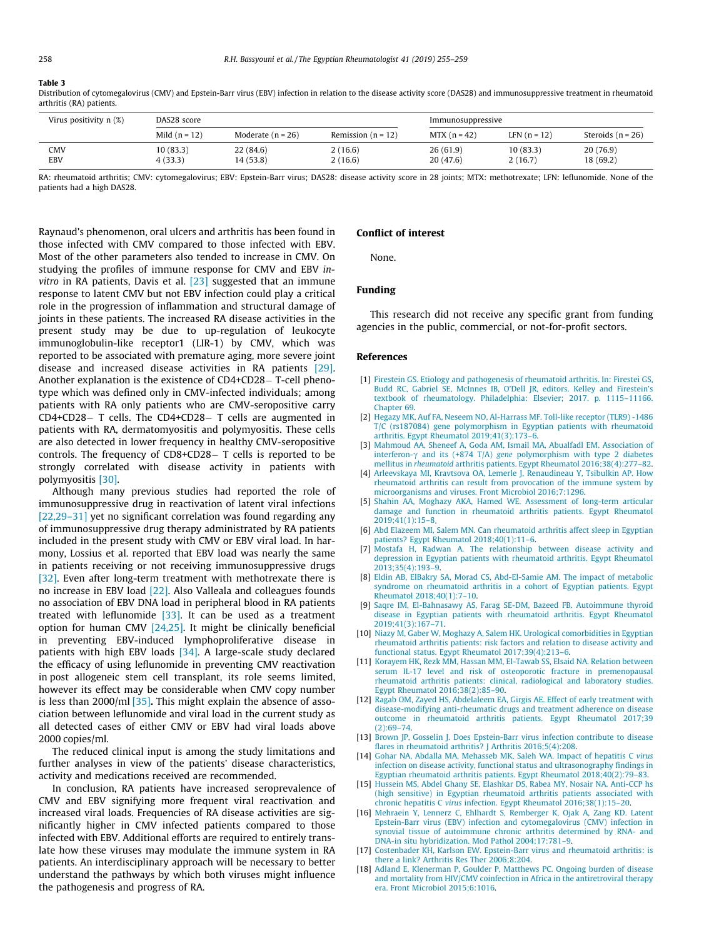#### <span id="page-3-0"></span>Table 3

Distribution of cytomegalovirus (CMV) and Epstein-Barr virus (EBV) infection in relation to the disease activity score (DAS28) and immunosuppressive treatment in rheumatoid arthritis (RA) patients.

| Virus positivity $n$ $(\%)$ | DAS28 score           |                        |                      | Immunosuppressive    |                      |                        |
|-----------------------------|-----------------------|------------------------|----------------------|----------------------|----------------------|------------------------|
|                             | Mild $(n = 12)$       | Moderate $(n = 26)$    | Remission $(n = 12)$ | $MTX (n = 42)$       | LFN $(n = 12)$       | Steroids $(n = 26)$    |
| CMV<br>EBV                  | 10 (83.3)<br>4 (33.3) | 22 (84.6)<br>14 (53.8) | 2(16.6)<br>2(16.6)   | 26(61.9)<br>20(47.6) | 10 (83.3)<br>2(16.7) | 20 (76.9)<br>18 (69.2) |

RA: rheumatoid arthritis; CMV: cytomegalovirus; EBV: Epstein-Barr virus; DAS28: disease activity score in 28 joints; MTX: methotrexate; LFN: leflunomide. None of the patients had a high DAS28.

Raynaud's phenomenon, oral ulcers and arthritis has been found in those infected with CMV compared to those infected with EBV. Most of the other parameters also tended to increase in CMV. On studying the profiles of immune response for CMV and EBV invitro in RA patients, Davis et al. [\[23\]](#page-4-0) suggested that an immune response to latent CMV but not EBV infection could play a critical role in the progression of inflammation and structural damage of joints in these patients. The increased RA disease activities in the present study may be due to up-regulation of leukocyte immunoglobulin-like receptor1 (LIR-1) by CMV, which was reported to be associated with premature aging, more severe joint disease and increased disease activities in RA patients [\[29\].](#page-4-0) Another explanation is the existence of CD4+CD28 – T-cell phenotype which was defined only in CMV-infected individuals; among patients with RA only patients who are CMV-seropositive carry CD4+CD28 - T cells. The CD4+CD28 - T cells are augmented in patients with RA, dermatomyositis and polymyositis. These cells are also detected in lower frequency in healthy CMV-seropositive controls. The frequency of  $CD8+CD28-$  T cells is reported to be strongly correlated with disease activity in patients with polymyositis [\[30\]](#page-4-0).

Although many previous studies had reported the role of immunosuppressive drug in reactivation of latent viral infections [\[22,29–31\]](#page-4-0) yet no significant correlation was found regarding any of immunosuppressive drug therapy administrated by RA patients included in the present study with CMV or EBV viral load. In harmony, Lossius et al. reported that EBV load was nearly the same in patients receiving or not receiving immunosuppressive drugs [\[32\]](#page-4-0). Even after long-term treatment with methotrexate there is no increase in EBV load [\[22\]](#page-4-0). Also Valleala and colleagues founds no association of EBV DNA load in peripheral blood in RA patients treated with leflunomide  $[33]$ . It can be used as a treatment option for human CMV [\[24,25\].](#page-4-0) It might be clinically beneficial in preventing EBV-induced lymphoproliferative disease in patients with high EBV loads [\[34\]](#page-4-0). A large-scale study declared the efficacy of using leflunomide in preventing CMV reactivation in post allogeneic stem cell transplant, its role seems limited, however its effect may be considerable when CMV copy number is less than 2000/ml  $[35]$ . This might explain the absence of association between leflunomide and viral load in the current study as all detected cases of either CMV or EBV had viral loads above 2000 copies/ml.

The reduced clinical input is among the study limitations and further analyses in view of the patients' disease characteristics, activity and medications received are recommended.

In conclusion, RA patients have increased seroprevalence of CMV and EBV signifying more frequent viral reactivation and increased viral loads. Frequencies of RA disease activities are significantly higher in CMV infected patients compared to those infected with EBV. Additional efforts are required to entirely translate how these viruses may modulate the immune system in RA patients. An interdisciplinary approach will be necessary to better understand the pathways by which both viruses might influence the pathogenesis and progress of RA.

#### Conflict of interest

None.

#### Funding

This research did not receive any specific grant from funding agencies in the public, commercial, or not-for-profit sectors.

#### References

- [1] [Firestein GS. Etiology and pathogenesis of rheumatoid arthritis. In: Firestei GS,](http://refhub.elsevier.com/S1110-1164(19)30028-6/h0005) [Budd RC, Gabriel SE, McInnes IB, O'Dell JR, editors. Kelley and Firestein's](http://refhub.elsevier.com/S1110-1164(19)30028-6/h0005) [textbook of rheumatology. Philadelphia: Elsevier; 2017. p. 1115–11166.](http://refhub.elsevier.com/S1110-1164(19)30028-6/h0005) [Chapter 69](http://refhub.elsevier.com/S1110-1164(19)30028-6/h0005).
- [2] [Hegazy MK, Auf FA, Neseem NO, Al-Harrass MF. Toll-like receptor \(TLR9\) -1486](http://refhub.elsevier.com/S1110-1164(19)30028-6/h0010) [T/C \(rs187084\) gene polymorphism in Egyptian patients with rheumatoid](http://refhub.elsevier.com/S1110-1164(19)30028-6/h0010) [arthritis. Egypt Rheumatol 2019;41\(3\):173–6](http://refhub.elsevier.com/S1110-1164(19)30028-6/h0010).
- [3] [Mahmoud AA, Sheneef A, Goda AM, Ismail MA, Abualfadl EM. Association of](http://refhub.elsevier.com/S1110-1164(19)30028-6/h0015) interferon- $\gamma$  and its (+874 T/A) gene [polymorphism with type 2 diabetes](http://refhub.elsevier.com/S1110-1164(19)30028-6/h0015) mellitus in rheumatoid [arthritis patients. Egypt Rheumatol 2016;38\(4\):277–82](http://refhub.elsevier.com/S1110-1164(19)30028-6/h0015).
- [4] [Arleevskaya MI, Kravtsova OA, Lemerle J, Renaudineau Y, Tsibulkin AP. How](http://refhub.elsevier.com/S1110-1164(19)30028-6/h0020) [rheumatoid arthritis can result from provocation of the immune system by](http://refhub.elsevier.com/S1110-1164(19)30028-6/h0020) [microorganisms and viruses. Front Microbiol 2016;7:1296](http://refhub.elsevier.com/S1110-1164(19)30028-6/h0020).
- [5] [Shahin AA, Moghazy AKA, Hamed WE. Assessment of long-term articular](http://refhub.elsevier.com/S1110-1164(19)30028-6/h0025) [damage and function in rheumatoid arthritis patients. Egypt Rheumatol](http://refhub.elsevier.com/S1110-1164(19)30028-6/h0025) [2019;41\(1\):15–8](http://refhub.elsevier.com/S1110-1164(19)30028-6/h0025).
- [6] [Abd Elazeem MI, Salem MN. Can rheumatoid arthritis affect sleep in Egyptian](http://refhub.elsevier.com/S1110-1164(19)30028-6/h0030) [patients? Egypt Rheumatol 2018;40\(1\):11–6.](http://refhub.elsevier.com/S1110-1164(19)30028-6/h0030)
- [7] [Mostafa H, Radwan A. The relationship between disease activity and](http://refhub.elsevier.com/S1110-1164(19)30028-6/h0035) [depression in Egyptian patients with rheumatoid arthritis. Egypt Rheumatol](http://refhub.elsevier.com/S1110-1164(19)30028-6/h0035) [2013;35\(4\):193–9.](http://refhub.elsevier.com/S1110-1164(19)30028-6/h0035)
- [8] [Eldin AB, ElBakry SA, Morad CS, Abd-El-Samie AM. The impact of metabolic](http://refhub.elsevier.com/S1110-1164(19)30028-6/h0040) [syndrome on rheumatoid arthritis in a cohort of Egyptian patients. Egypt](http://refhub.elsevier.com/S1110-1164(19)30028-6/h0040) [Rheumatol 2018;40\(1\):7–10.](http://refhub.elsevier.com/S1110-1164(19)30028-6/h0040)
- [9] [Saqre IM, El-Bahnasawy AS, Farag SE-DM, Bazeed FB. Autoimmune thyroid](http://refhub.elsevier.com/S1110-1164(19)30028-6/h0045) [disease in Egyptian patients with rheumatoid arthritis. Egypt Rheumatol](http://refhub.elsevier.com/S1110-1164(19)30028-6/h0045) [2019;41\(3\):167–71.](http://refhub.elsevier.com/S1110-1164(19)30028-6/h0045)
- [10] [Niazy M, Gaber W, Moghazy A, Salem HK. Urological comorbidities in Egyptian](http://refhub.elsevier.com/S1110-1164(19)30028-6/h0050) [rheumatoid arthritis patients: risk factors and relation to disease activity and](http://refhub.elsevier.com/S1110-1164(19)30028-6/h0050) [functional status. Egypt Rheumatol 2017;39\(4\):213–6](http://refhub.elsevier.com/S1110-1164(19)30028-6/h0050).
- [11] [Korayem HK, Rezk MM, Hassan MM, El-Tawab SS, Elsaid NA. Relation between](http://refhub.elsevier.com/S1110-1164(19)30028-6/h0055) [serum IL-17 level and risk of osteoporotic fracture in premenopausal](http://refhub.elsevier.com/S1110-1164(19)30028-6/h0055) [rheumatoid arthritis patients: clinical, radiological and laboratory studies.](http://refhub.elsevier.com/S1110-1164(19)30028-6/h0055) [Egypt Rheumatol 2016;38\(2\):85–90.](http://refhub.elsevier.com/S1110-1164(19)30028-6/h0055)
- [12] [Ragab OM, Zayed HS, Abdelaleem EA, Girgis AE. Effect of early treatment with](http://refhub.elsevier.com/S1110-1164(19)30028-6/h0060) [disease-modifying anti-rheumatic drugs and treatment adherence on disease](http://refhub.elsevier.com/S1110-1164(19)30028-6/h0060) [outcome in rheumatoid arthritis patients. Egypt Rheumatol 2017;39](http://refhub.elsevier.com/S1110-1164(19)30028-6/h0060) [\(2\):69–74](http://refhub.elsevier.com/S1110-1164(19)30028-6/h0060).
- [13] [Brown JP, Gosselin J. Does Epstein-Barr virus infection contribute to disease](http://refhub.elsevier.com/S1110-1164(19)30028-6/h0065) [flares in rheumatoid arthritis? J Arthritis 2016;5\(4\):208.](http://refhub.elsevier.com/S1110-1164(19)30028-6/h0065)
- [14] [Gohar NA, Abdalla MA, Mehasseb MK, Saleh WA. Impact of hepatitis C](http://refhub.elsevier.com/S1110-1164(19)30028-6/h0070) virus [infection on disease activity, functional status and ultrasonography findings in](http://refhub.elsevier.com/S1110-1164(19)30028-6/h0070) [Egyptian rheumatoid arthritis patients. Egypt Rheumatol 2018;40\(2\):79–83.](http://refhub.elsevier.com/S1110-1164(19)30028-6/h0070)
- [15] [Hussein MS, Abdel Ghany SE, Elashkar DS, Rabea MY, Nosair NA. Anti-CCP hs](http://refhub.elsevier.com/S1110-1164(19)30028-6/h0075) [\(high sensitive\) in Egyptian rheumatoid arthritis patients associated with](http://refhub.elsevier.com/S1110-1164(19)30028-6/h0075) chronic hepatitis C virus [infection. Egypt Rheumatol 2016;38\(1\):15–20.](http://refhub.elsevier.com/S1110-1164(19)30028-6/h0075)
- [16] [Mehraein Y, Lennerz C, Ehlhardt S, Remberger K, Ojak A, Zang KD. Latent](http://refhub.elsevier.com/S1110-1164(19)30028-6/h0080) [Epstein-Barr virus \(EBV\) infection and cytomegalovirus \(CMV\) infection in](http://refhub.elsevier.com/S1110-1164(19)30028-6/h0080) [synovial tissue of autoimmune chronic arthritis determined by RNA- and](http://refhub.elsevier.com/S1110-1164(19)30028-6/h0080) [DNA-in situ hybridization. Mod Pathol 2004;17:781–9](http://refhub.elsevier.com/S1110-1164(19)30028-6/h0080).
- [17] [Costenbader KH, Karlson EW. Epstein-Barr virus and rheumatoid arthritis: is](http://refhub.elsevier.com/S1110-1164(19)30028-6/h0085) [there a link? Arthritis Res Ther 2006;8:204.](http://refhub.elsevier.com/S1110-1164(19)30028-6/h0085)
- [18] [Adland E, Klenerman P, Goulder P, Matthews PC. Ongoing burden of disease](http://refhub.elsevier.com/S1110-1164(19)30028-6/h0090) [and mortality from HIV/CMV coinfection in Africa in the antiretroviral therapy](http://refhub.elsevier.com/S1110-1164(19)30028-6/h0090) [era. Front Microbiol 2015;6:1016.](http://refhub.elsevier.com/S1110-1164(19)30028-6/h0090)